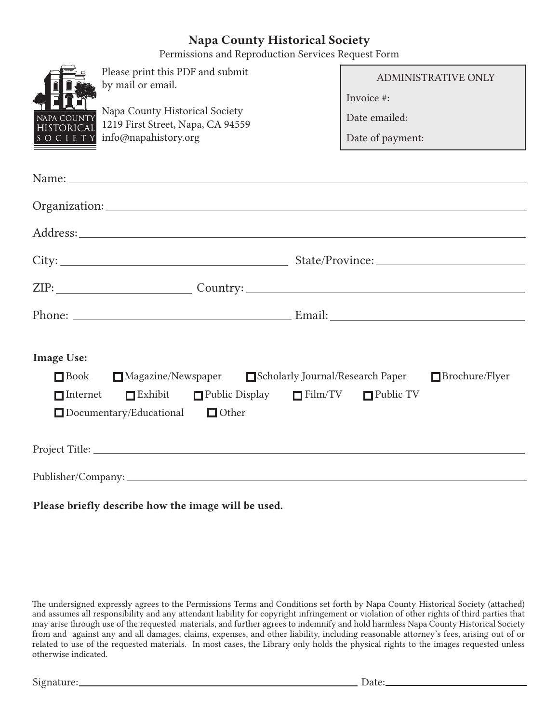# Napa County Historical Society

Permissions and Reproduction Services Request Form

|                                                                                                                                                                                                                                | Please print this PDF and submit<br>by mail or email.                                                                                                                                                                          | ADMINISTRATIVE ONLY         |  |
|--------------------------------------------------------------------------------------------------------------------------------------------------------------------------------------------------------------------------------|--------------------------------------------------------------------------------------------------------------------------------------------------------------------------------------------------------------------------------|-----------------------------|--|
| NAPA COUNTY<br><b>HISTORICA</b>                                                                                                                                                                                                | Napa County Historical Society<br>1219 First Street, Napa, CA 94559                                                                                                                                                            | Invoice #:<br>Date emailed: |  |
| SOCIET                                                                                                                                                                                                                         | info@napahistory.org                                                                                                                                                                                                           | Date of payment:            |  |
|                                                                                                                                                                                                                                | Name: Name and the second state of the second state of the second state of the second state of the second state of the second state of the second state of the second state of the second state of the second state of the sec |                             |  |
| Organization: 2000 and 2000 and 2000 and 2000 and 2000 and 2000 and 2000 and 2000 and 2000 and 2000 and 2000 and 2000 and 2000 and 2000 and 2000 and 2000 and 2000 and 2000 and 2000 and 2000 and 2000 and 2000 and 2000 and 2 |                                                                                                                                                                                                                                |                             |  |
|                                                                                                                                                                                                                                |                                                                                                                                                                                                                                |                             |  |
|                                                                                                                                                                                                                                |                                                                                                                                                                                                                                |                             |  |
|                                                                                                                                                                                                                                |                                                                                                                                                                                                                                |                             |  |
|                                                                                                                                                                                                                                |                                                                                                                                                                                                                                |                             |  |
| <b>Image Use:</b><br>■ Magazine/Newspaper ■ Scholarly Journal/Research Paper ■ Brochure/Flyer<br>$\Box$ Book                                                                                                                   |                                                                                                                                                                                                                                |                             |  |
| $\blacksquare$ Internet                                                                                                                                                                                                        | Exhibit Public Display Film/TV Public TV<br>$\Box$ Documentary/Educational<br>$\Box$ Other                                                                                                                                     |                             |  |
|                                                                                                                                                                                                                                |                                                                                                                                                                                                                                |                             |  |
|                                                                                                                                                                                                                                |                                                                                                                                                                                                                                |                             |  |

Please briefly describe how the image will be used.

The undersigned expressly agrees to the Permissions Terms and Conditions set forth by Napa County Historical Society (attached) and assumes all responsibility and any attendant liability for copyright infringement or violation of other rights of third parties that may arise through use of the requested materials, and further agrees to indemnify and hold harmless Napa County Historical Society from and against any and all damages, claims, expenses, and other liability, including reasonable attorney's fees, arising out of or related to use of the requested materials. In most cases, the Library only holds the physical rights to the images requested unless otherwise indicated.

Signature: Date: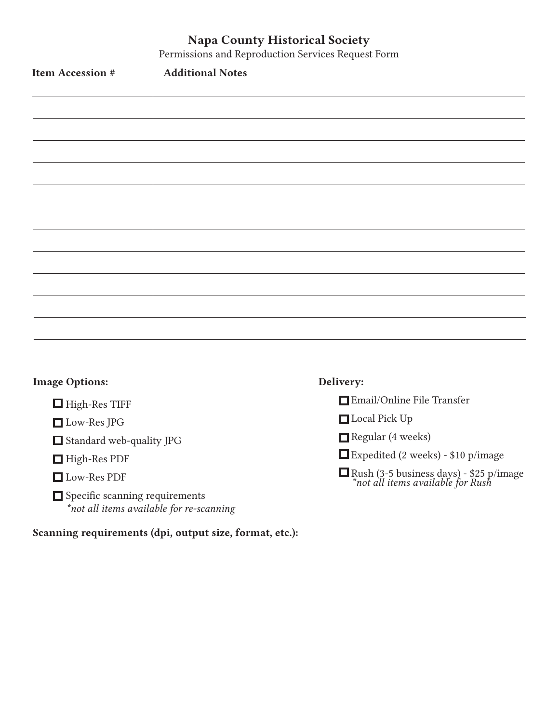# Napa County Historical Society

Permissions and Reproduction Services Request Form

| Item Accession # | <b>Additional Notes</b> |
|------------------|-------------------------|
|                  |                         |
|                  |                         |
|                  |                         |
|                  |                         |
|                  |                         |
|                  |                         |
|                  |                         |
|                  |                         |
|                  |                         |
|                  |                         |
|                  |                         |

# Image Options:

- $\Box$  High-Res TIFF
- Low-Res JPG
- Standard web-quality JPG
- High-Res PDF
- Low-Res PDF
- $\Box$  Specific scanning requirements \*not all items available for re-scanning

# Scanning requirements (dpi, output size, format, etc.):

# Delivery:

- Email/Online File Transfer
- Local Pick Up
- Regular (4 weeks)
- Expedited (2 weeks) \$10 p/image
- $\Box$  Rush (3-5 business days) \$25 p/image \*not all items available for Rush